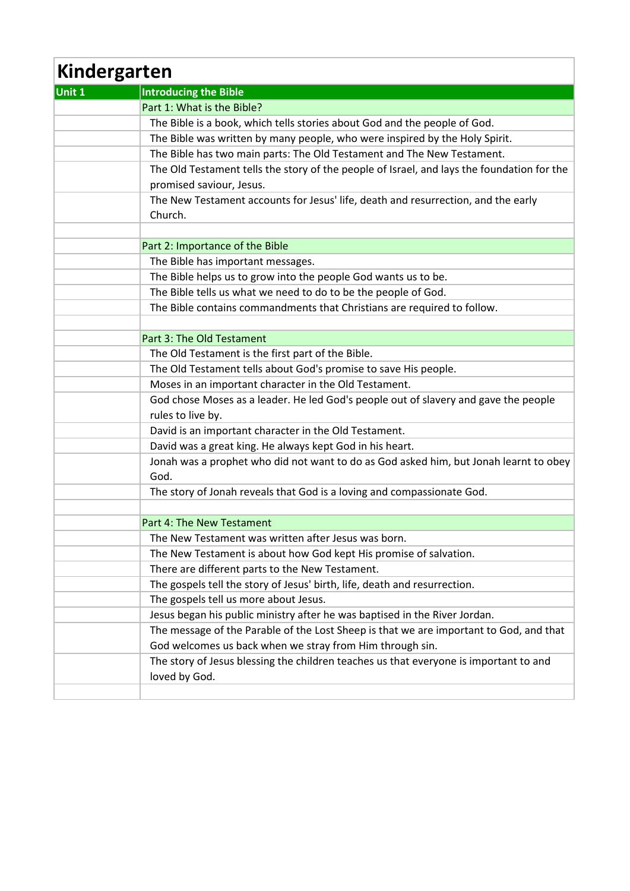## **Kindergarten**

| Unit 1 | <b>Introducing the Bible</b>                                                               |
|--------|--------------------------------------------------------------------------------------------|
|        | Part 1: What is the Bible?                                                                 |
|        | The Bible is a book, which tells stories about God and the people of God.                  |
|        | The Bible was written by many people, who were inspired by the Holy Spirit.                |
|        | The Bible has two main parts: The Old Testament and The New Testament.                     |
|        | The Old Testament tells the story of the people of Israel, and lays the foundation for the |
|        | promised saviour, Jesus.                                                                   |
|        | The New Testament accounts for Jesus' life, death and resurrection, and the early          |
|        | Church.                                                                                    |
|        |                                                                                            |
|        | Part 2: Importance of the Bible                                                            |
|        | The Bible has important messages.                                                          |
|        | The Bible helps us to grow into the people God wants us to be.                             |
|        | The Bible tells us what we need to do to be the people of God.                             |
|        |                                                                                            |
|        | The Bible contains commandments that Christians are required to follow.                    |
|        | Part 3: The Old Testament                                                                  |
|        |                                                                                            |
|        | The Old Testament is the first part of the Bible.                                          |
|        | The Old Testament tells about God's promise to save His people.                            |
|        | Moses in an important character in the Old Testament.                                      |
|        | God chose Moses as a leader. He led God's people out of slavery and gave the people        |
|        | rules to live by.                                                                          |
|        | David is an important character in the Old Testament.                                      |
|        | David was a great king. He always kept God in his heart.                                   |
|        | Jonah was a prophet who did not want to do as God asked him, but Jonah learnt to obey      |
|        | God.                                                                                       |
|        | The story of Jonah reveals that God is a loving and compassionate God.                     |
|        |                                                                                            |
|        | Part 4: The New Testament                                                                  |
|        | The New Testament was written after Jesus was born.                                        |
|        | The New Testament is about how God kept His promise of salvation                           |
|        | There are different parts to the New Testament.                                            |
|        | The gospels tell the story of Jesus' birth, life, death and resurrection.                  |
|        | The gospels tell us more about Jesus.                                                      |
|        | Jesus began his public ministry after he was baptised in the River Jordan.                 |
|        | The message of the Parable of the Lost Sheep is that we are important to God, and that     |
|        | God welcomes us back when we stray from Him through sin.                                   |
|        | The story of Jesus blessing the children teaches us that everyone is important to and      |
|        | loved by God.                                                                              |
|        |                                                                                            |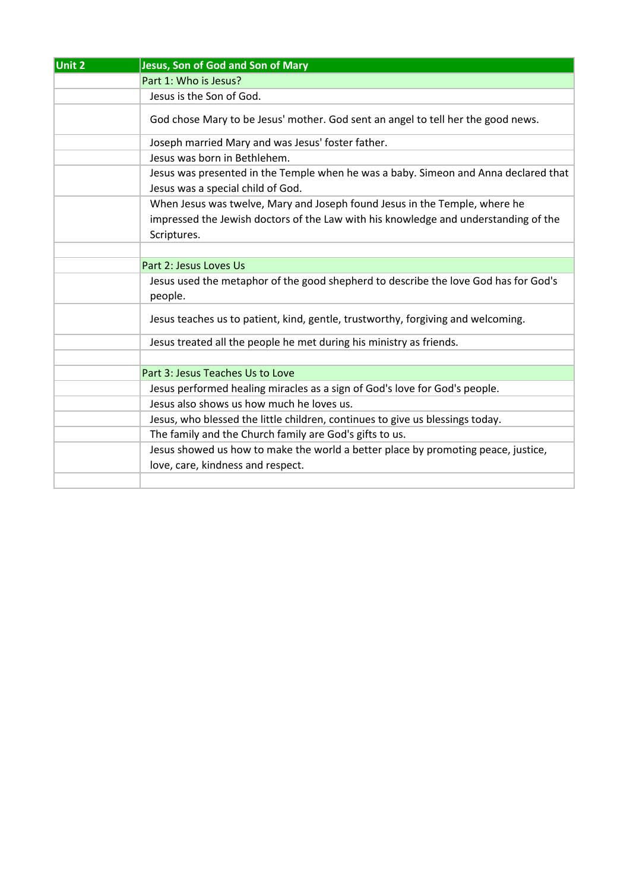| Unit 2 | Jesus, Son of God and Son of Mary                                                                                        |
|--------|--------------------------------------------------------------------------------------------------------------------------|
|        | Part 1: Who is Jesus?                                                                                                    |
|        | Jesus is the Son of God.                                                                                                 |
|        | God chose Mary to be Jesus' mother. God sent an angel to tell her the good news.                                         |
|        | Joseph married Mary and was Jesus' foster father.                                                                        |
|        | Jesus was born in Bethlehem.                                                                                             |
|        | Jesus was presented in the Temple when he was a baby. Simeon and Anna declared that<br>Jesus was a special child of God. |
|        | When Jesus was twelve, Mary and Joseph found Jesus in the Temple, where he                                               |
|        | impressed the Jewish doctors of the Law with his knowledge and understanding of the<br>Scriptures.                       |
|        |                                                                                                                          |
|        | Part 2: Jesus Loves Us                                                                                                   |
|        | Jesus used the metaphor of the good shepherd to describe the love God has for God's<br>people.                           |
|        | Jesus teaches us to patient, kind, gentle, trustworthy, forgiving and welcoming.                                         |
|        | Jesus treated all the people he met during his ministry as friends.                                                      |
|        |                                                                                                                          |
|        | Part 3: Jesus Teaches Us to Love                                                                                         |
|        | Jesus performed healing miracles as a sign of God's love for God's people.                                               |
|        | Jesus also shows us how much he loves us.                                                                                |
|        | Jesus, who blessed the little children, continues to give us blessings today.                                            |
|        | The family and the Church family are God's gifts to us.                                                                  |
|        | Jesus showed us how to make the world a better place by promoting peace, justice,<br>love, care, kindness and respect.   |
|        |                                                                                                                          |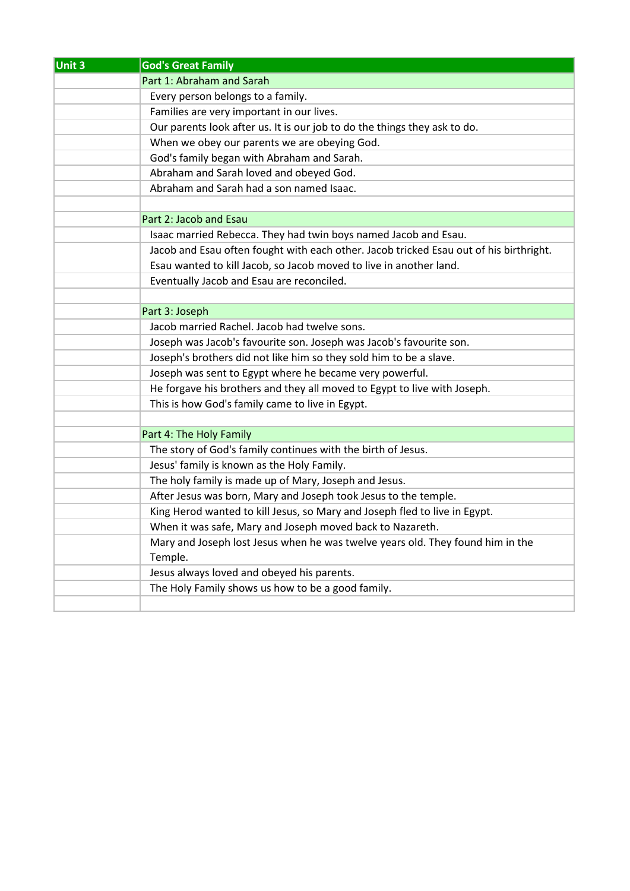| <b>Unit 3</b> | <b>God's Great Family</b>                                                              |
|---------------|----------------------------------------------------------------------------------------|
|               | Part 1: Abraham and Sarah                                                              |
|               | Every person belongs to a family.                                                      |
|               | Families are very important in our lives.                                              |
|               | Our parents look after us. It is our job to do the things they ask to do.              |
|               | When we obey our parents we are obeying God.                                           |
|               | God's family began with Abraham and Sarah.                                             |
|               | Abraham and Sarah loved and obeyed God.                                                |
|               | Abraham and Sarah had a son named Isaac.                                               |
|               |                                                                                        |
|               | Part 2: Jacob and Esau                                                                 |
|               | Isaac married Rebecca. They had twin boys named Jacob and Esau.                        |
|               | Jacob and Esau often fought with each other. Jacob tricked Esau out of his birthright. |
|               | Esau wanted to kill Jacob, so Jacob moved to live in another land.                     |
|               | Eventually Jacob and Esau are reconciled.                                              |
|               |                                                                                        |
|               | Part 3: Joseph                                                                         |
|               | Jacob married Rachel, Jacob had twelve sons.                                           |
|               | Joseph was Jacob's favourite son. Joseph was Jacob's favourite son.                    |
|               | Joseph's brothers did not like him so they sold him to be a slave.                     |
|               | Joseph was sent to Egypt where he became very powerful.                                |
|               | He forgave his brothers and they all moved to Egypt to live with Joseph.               |
|               | This is how God's family came to live in Egypt.                                        |
|               |                                                                                        |
|               | Part 4: The Holy Family                                                                |
|               | The story of God's family continues with the birth of Jesus.                           |
|               | Jesus' family is known as the Holy Family.                                             |
|               | The holy family is made up of Mary, Joseph and Jesus.                                  |
|               | After Jesus was born, Mary and Joseph took Jesus to the temple.                        |
|               | King Herod wanted to kill Jesus, so Mary and Joseph fled to live in Egypt.             |
|               | When it was safe, Mary and Joseph moved back to Nazareth.                              |
|               | Mary and Joseph lost Jesus when he was twelve years old. They found him in the         |
|               | Temple.                                                                                |
|               | Jesus always loved and obeyed his parents.                                             |
|               | The Holy Family shows us how to be a good family.                                      |
|               |                                                                                        |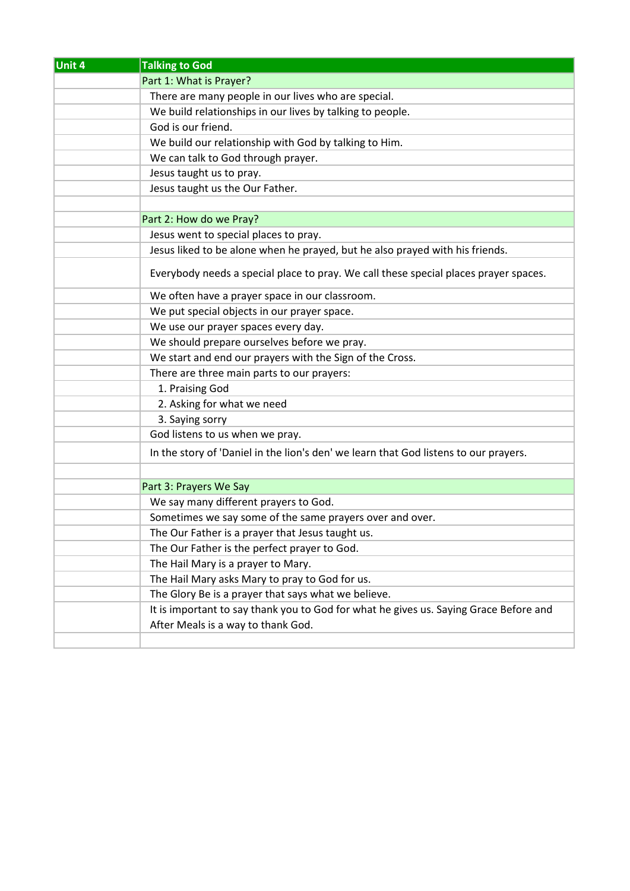| Unit 4 | <b>Talking to God</b>                                                                 |
|--------|---------------------------------------------------------------------------------------|
|        | Part 1: What is Prayer?                                                               |
|        | There are many people in our lives who are special.                                   |
|        | We build relationships in our lives by talking to people.                             |
|        | God is our friend.                                                                    |
|        | We build our relationship with God by talking to Him.                                 |
|        | We can talk to God through prayer.                                                    |
|        | Jesus taught us to pray.                                                              |
|        | Jesus taught us the Our Father.                                                       |
|        |                                                                                       |
|        | Part 2: How do we Pray?                                                               |
|        | Jesus went to special places to pray.                                                 |
|        | Jesus liked to be alone when he prayed, but he also prayed with his friends.          |
|        | Everybody needs a special place to pray. We call these special places prayer spaces.  |
|        | We often have a prayer space in our classroom.                                        |
|        | We put special objects in our prayer space.                                           |
|        | We use our prayer spaces every day.                                                   |
|        | We should prepare ourselves before we pray.                                           |
|        | We start and end our prayers with the Sign of the Cross.                              |
|        | There are three main parts to our prayers:                                            |
|        | 1. Praising God                                                                       |
|        | 2. Asking for what we need                                                            |
|        | 3. Saying sorry                                                                       |
|        | God listens to us when we pray.                                                       |
|        | In the story of 'Daniel in the lion's den' we learn that God listens to our prayers.  |
|        |                                                                                       |
|        | Part 3: Prayers We Say                                                                |
|        | We say many different prayers to God.                                                 |
|        | Sometimes we say some of the same prayers over and over.                              |
|        | The Our Father is a prayer that Jesus taught us.                                      |
|        | The Our Father is the perfect prayer to God.                                          |
|        | The Hail Mary is a prayer to Mary.                                                    |
|        | The Hail Mary asks Mary to pray to God for us.                                        |
|        | The Glory Be is a prayer that says what we believe.                                   |
|        | It is important to say thank you to God for what he gives us. Saying Grace Before and |
|        | After Meals is a way to thank God.                                                    |
|        |                                                                                       |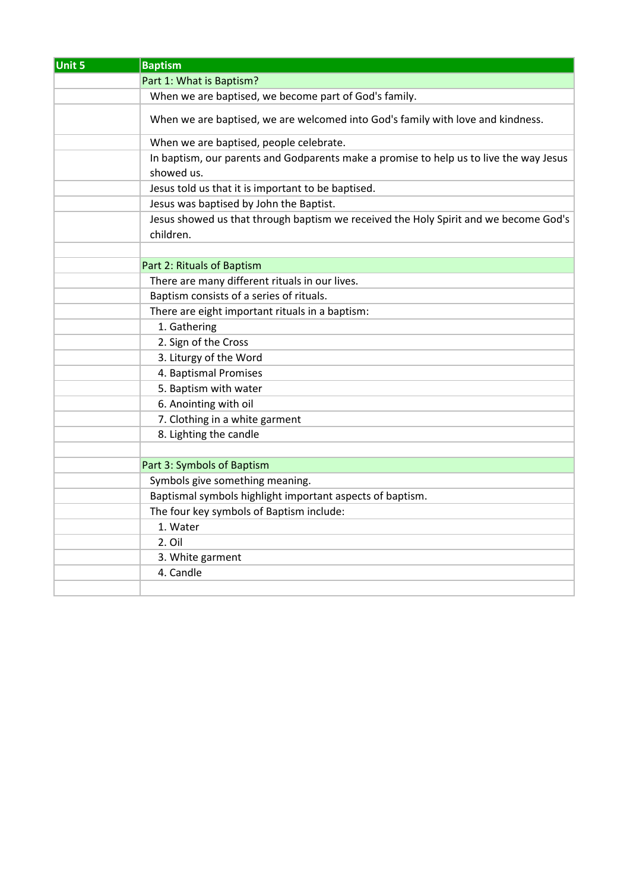| <b>Unit 5</b> | <b>Baptism</b>                                                                                       |
|---------------|------------------------------------------------------------------------------------------------------|
|               | Part 1: What is Baptism?                                                                             |
|               | When we are baptised, we become part of God's family.                                                |
|               | When we are baptised, we are welcomed into God's family with love and kindness.                      |
|               | When we are baptised, people celebrate.                                                              |
|               | In baptism, our parents and Godparents make a promise to help us to live the way Jesus<br>showed us. |
|               | Jesus told us that it is important to be baptised.                                                   |
|               | Jesus was baptised by John the Baptist.                                                              |
|               | Jesus showed us that through baptism we received the Holy Spirit and we become God's<br>children.    |
|               |                                                                                                      |
|               | Part 2: Rituals of Baptism                                                                           |
|               | There are many different rituals in our lives.                                                       |
|               | Baptism consists of a series of rituals.                                                             |
|               | There are eight important rituals in a baptism:                                                      |
|               | 1. Gathering                                                                                         |
|               | 2. Sign of the Cross                                                                                 |
|               | 3. Liturgy of the Word                                                                               |
|               | 4. Baptismal Promises                                                                                |
|               | 5. Baptism with water                                                                                |
|               | 6. Anointing with oil                                                                                |
|               | 7. Clothing in a white garment                                                                       |
|               | 8. Lighting the candle                                                                               |
|               |                                                                                                      |
|               | Part 3: Symbols of Baptism                                                                           |
|               | Symbols give something meaning.                                                                      |
|               | Baptismal symbols highlight important aspects of baptism.                                            |
|               | The four key symbols of Baptism include:                                                             |
|               | 1. Water                                                                                             |
|               | 2. Oil                                                                                               |
|               | 3. White garment                                                                                     |
|               | 4. Candle                                                                                            |
|               |                                                                                                      |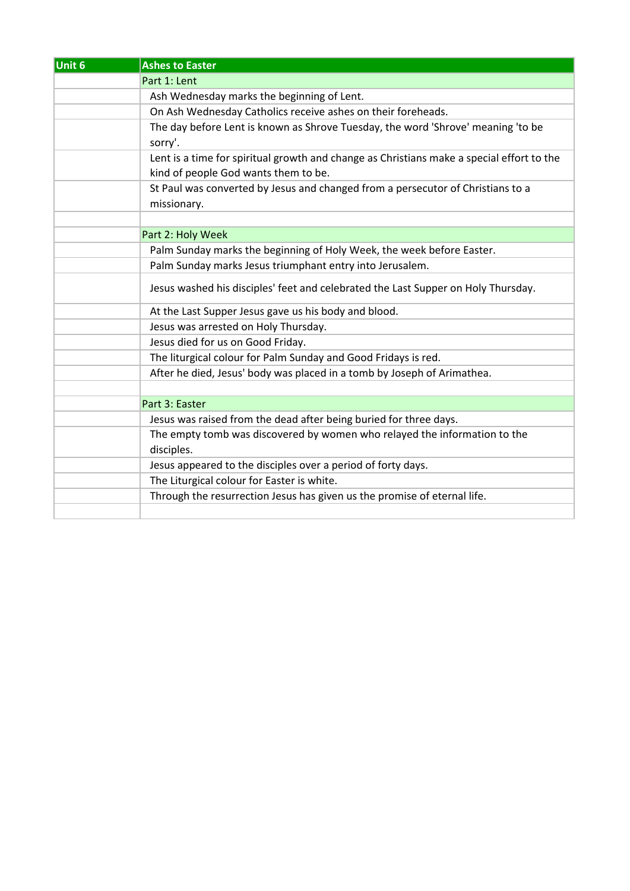| <b>Unit 6</b> | <b>Ashes to Easter</b>                                                                      |
|---------------|---------------------------------------------------------------------------------------------|
|               | Part 1: Lent                                                                                |
|               | Ash Wednesday marks the beginning of Lent.                                                  |
|               | On Ash Wednesday Catholics receive ashes on their foreheads.                                |
|               | The day before Lent is known as Shrove Tuesday, the word 'Shrove' meaning 'to be<br>sorry'. |
|               | Lent is a time for spiritual growth and change as Christians make a special effort to the   |
|               | kind of people God wants them to be.                                                        |
|               | St Paul was converted by Jesus and changed from a persecutor of Christians to a             |
|               | missionary.                                                                                 |
|               |                                                                                             |
|               | Part 2: Holy Week                                                                           |
|               | Palm Sunday marks the beginning of Holy Week, the week before Easter.                       |
|               | Palm Sunday marks Jesus triumphant entry into Jerusalem.                                    |
|               | Jesus washed his disciples' feet and celebrated the Last Supper on Holy Thursday.           |
|               | At the Last Supper Jesus gave us his body and blood.                                        |
|               | Jesus was arrested on Holy Thursday.                                                        |
|               | Jesus died for us on Good Friday.                                                           |
|               | The liturgical colour for Palm Sunday and Good Fridays is red.                              |
|               | After he died, Jesus' body was placed in a tomb by Joseph of Arimathea.                     |
|               |                                                                                             |
|               | Part 3: Easter                                                                              |
|               | Jesus was raised from the dead after being buried for three days.                           |
|               | The empty tomb was discovered by women who relayed the information to the                   |
|               | disciples.                                                                                  |
|               | Jesus appeared to the disciples over a period of forty days.                                |
|               | The Liturgical colour for Easter is white.                                                  |
|               | Through the resurrection Jesus has given us the promise of eternal life.                    |
|               |                                                                                             |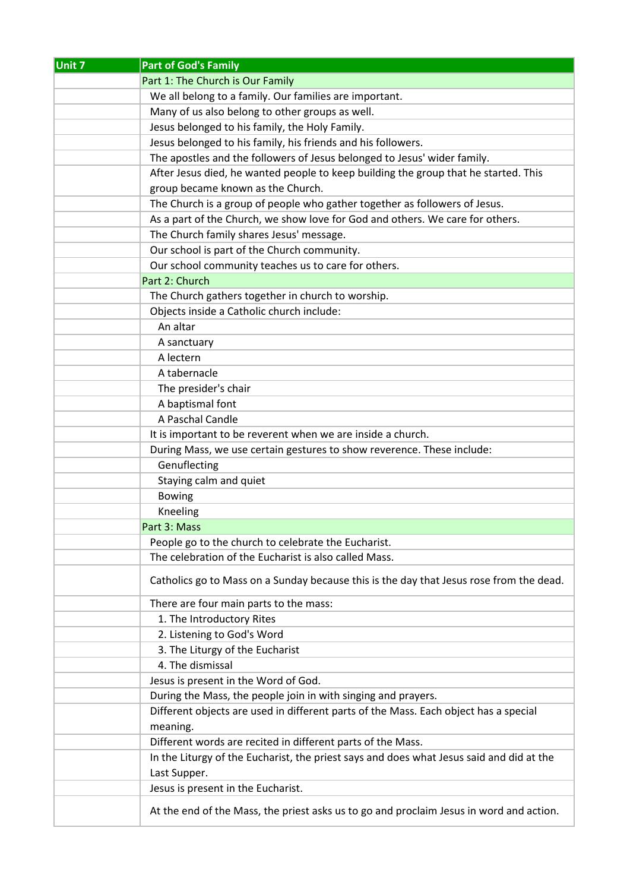| Unit 7 | <b>Part of God's Family</b>                                                              |
|--------|------------------------------------------------------------------------------------------|
|        | Part 1: The Church is Our Family                                                         |
|        | We all belong to a family. Our families are important.                                   |
|        | Many of us also belong to other groups as well.                                          |
|        | Jesus belonged to his family, the Holy Family.                                           |
|        | Jesus belonged to his family, his friends and his followers.                             |
|        | The apostles and the followers of Jesus belonged to Jesus' wider family.                 |
|        | After Jesus died, he wanted people to keep building the group that he started. This      |
|        | group became known as the Church.                                                        |
|        | The Church is a group of people who gather together as followers of Jesus.               |
|        | As a part of the Church, we show love for God and others. We care for others.            |
|        | The Church family shares Jesus' message.                                                 |
|        | Our school is part of the Church community.                                              |
|        | Our school community teaches us to care for others.                                      |
|        | Part 2: Church                                                                           |
|        | The Church gathers together in church to worship.                                        |
|        | Objects inside a Catholic church include:                                                |
|        | An altar                                                                                 |
|        | A sanctuary                                                                              |
|        | A lectern                                                                                |
|        | A tabernacle                                                                             |
|        | The presider's chair                                                                     |
|        | A baptismal font                                                                         |
|        | A Paschal Candle                                                                         |
|        |                                                                                          |
|        | It is important to be reverent when we are inside a church.                              |
|        | During Mass, we use certain gestures to show reverence. These include:                   |
|        | Genuflecting                                                                             |
|        | Staying calm and quiet                                                                   |
|        | <b>Bowing</b>                                                                            |
|        | Kneeling                                                                                 |
|        | Part 3: Mass                                                                             |
|        | People go to the church to celebrate the Eucharist.                                      |
|        | The celebration of the Eucharist is also called Mass.                                    |
|        | Catholics go to Mass on a Sunday because this is the day that Jesus rose from the dead.  |
|        | There are four main parts to the mass:                                                   |
|        | 1. The Introductory Rites                                                                |
|        | 2. Listening to God's Word                                                               |
|        | 3. The Liturgy of the Eucharist                                                          |
|        | 4. The dismissal                                                                         |
|        | Jesus is present in the Word of God.                                                     |
|        | During the Mass, the people join in with singing and prayers.                            |
|        | Different objects are used in different parts of the Mass. Each object has a special     |
|        | meaning.                                                                                 |
|        | Different words are recited in different parts of the Mass.                              |
|        | In the Liturgy of the Eucharist, the priest says and does what Jesus said and did at the |
|        | Last Supper.                                                                             |
|        | Jesus is present in the Eucharist.                                                       |
|        |                                                                                          |
|        | At the end of the Mass, the priest asks us to go and proclaim Jesus in word and action.  |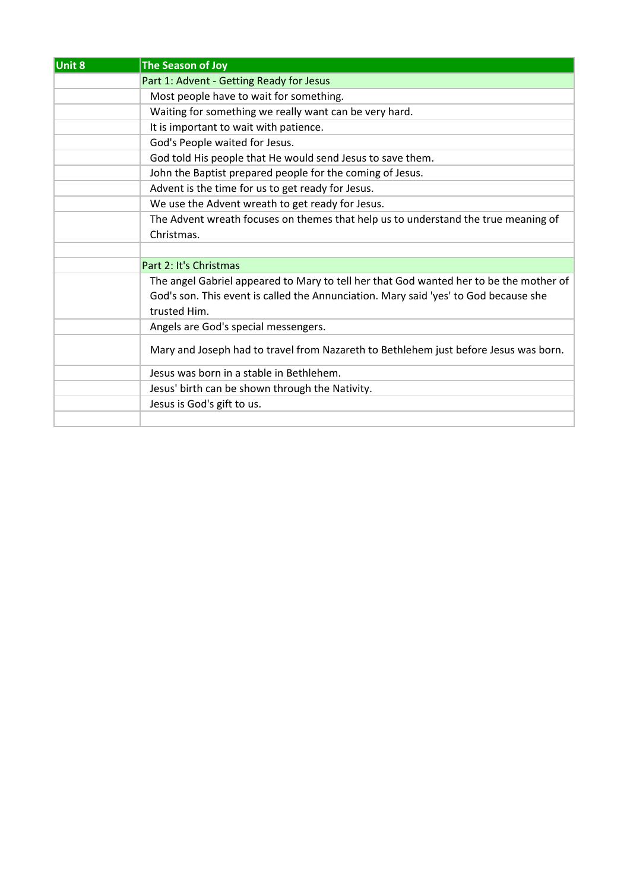| Unit 8 | <b>The Season of Joy</b>                                                               |
|--------|----------------------------------------------------------------------------------------|
|        | Part 1: Advent - Getting Ready for Jesus                                               |
|        | Most people have to wait for something.                                                |
|        | Waiting for something we really want can be very hard.                                 |
|        | It is important to wait with patience.                                                 |
|        | God's People waited for Jesus.                                                         |
|        | God told His people that He would send Jesus to save them.                             |
|        | John the Baptist prepared people for the coming of Jesus.                              |
|        | Advent is the time for us to get ready for Jesus.                                      |
|        | We use the Advent wreath to get ready for Jesus.                                       |
|        | The Advent wreath focuses on themes that help us to understand the true meaning of     |
|        | Christmas.                                                                             |
|        |                                                                                        |
|        | Part 2: It's Christmas                                                                 |
|        | The angel Gabriel appeared to Mary to tell her that God wanted her to be the mother of |
|        | God's son. This event is called the Annunciation. Mary said 'yes' to God because she   |
|        | trusted Him.                                                                           |
|        | Angels are God's special messengers.                                                   |
|        | Mary and Joseph had to travel from Nazareth to Bethlehem just before Jesus was born.   |
|        | Jesus was born in a stable in Bethlehem.                                               |
|        | Jesus' birth can be shown through the Nativity.                                        |
|        | Jesus is God's gift to us.                                                             |
|        |                                                                                        |